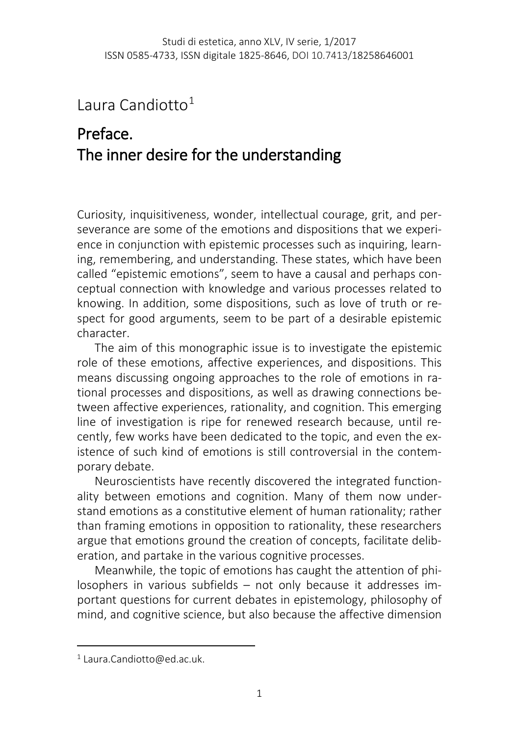## Laura Candiotto $1$

## Preface. The inner desire for the understanding

Curiosity, inquisitiveness, wonder, intellectual courage, grit, and perseverance are some of the emotions and dispositions that we experience in conjunction with epistemic processes such as inquiring, learning, remembering, and understanding. These states, which have been called "epistemic emotions", seem to have a causal and perhaps conceptual connection with knowledge and various processes related to knowing. In addition, some dispositions, such as love of truth or respect for good arguments, seem to be part of a desirable epistemic character.

The aim of this monographic issue is to investigate the epistemic role of these emotions, affective experiences, and dispositions. This means discussing ongoing approaches to the role of emotions in rational processes and dispositions, as well as drawing connections between affective experiences, rationality, and cognition. This emerging line of investigation is ripe for renewed research because, until recently, few works have been dedicated to the topic, and even the existence of such kind of emotions is still controversial in the contemporary debate.

Neuroscientists have recently discovered the integrated functionality between emotions and cognition. Many of them now understand emotions as a constitutive element of human rationality; rather than framing emotions in opposition to rationality, these researchers argue that emotions ground the creation of concepts, facilitate deliberation, and partake in the various cognitive processes.

Meanwhile, the topic of emotions has caught the attention of philosophers in various subfields – not only because it addresses important questions for current debates in epistemology, philosophy of mind, and cognitive science, but also because the affective dimension

l

<span id="page-0-0"></span><sup>1</sup> Laura.Candiotto@ed.ac.uk.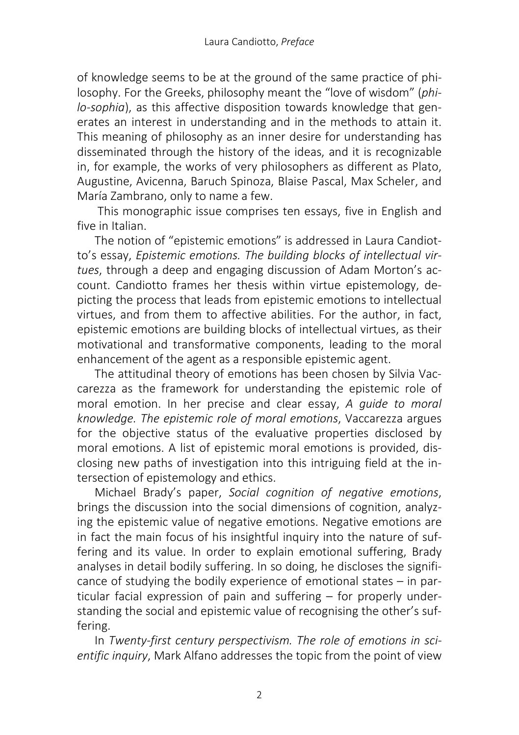of knowledge seems to be at the ground of the same practice of philosophy. For the Greeks, philosophy meant the "love of wisdom" (*philo-sophia*), as this affective disposition towards knowledge that generates an interest in understanding and in the methods to attain it. This meaning of philosophy as an inner desire for understanding has disseminated through the history of the ideas, and it is recognizable in, for example, the works of very philosophers as different as Plato, Augustine, Avicenna, Baruch Spinoza, Blaise Pascal, Max Scheler, and María Zambrano, only to name a few.

This monographic issue comprises ten essays, five in English and five in Italian.

The notion of "epistemic emotions" is addressed in Laura Candiotto's essay, *Epistemic emotions. The building blocks of intellectual virtues*, through a deep and engaging discussion of Adam Morton's account. Candiotto frames her thesis within virtue epistemology, depicting the process that leads from epistemic emotions to intellectual virtues, and from them to affective abilities. For the author, in fact, epistemic emotions are building blocks of intellectual virtues, as their motivational and transformative components, leading to the moral enhancement of the agent as a responsible epistemic agent.

The attitudinal theory of emotions has been chosen by Silvia Vaccarezza as the framework for understanding the epistemic role of moral emotion. In her precise and clear essay, *A guide to moral knowledge. The epistemic role of moral emotions*, Vaccarezza argues for the objective status of the evaluative properties disclosed by moral emotions. A list of epistemic moral emotions is provided, disclosing new paths of investigation into this intriguing field at the intersection of epistemology and ethics.

Michael Brady's paper, *Social cognition of negative emotions*, brings the discussion into the social dimensions of cognition, analyzing the epistemic value of negative emotions. Negative emotions are in fact the main focus of his insightful inquiry into the nature of suffering and its value. In order to explain emotional suffering, Brady analyses in detail bodily suffering. In so doing, he discloses the significance of studying the bodily experience of emotional states – in particular facial expression of pain and suffering – for properly understanding the social and epistemic value of recognising the other's suffering.

In *Twenty-first century perspectivism. The role of emotions in scientific inquiry*, Mark Alfano addresses the topic from the point of view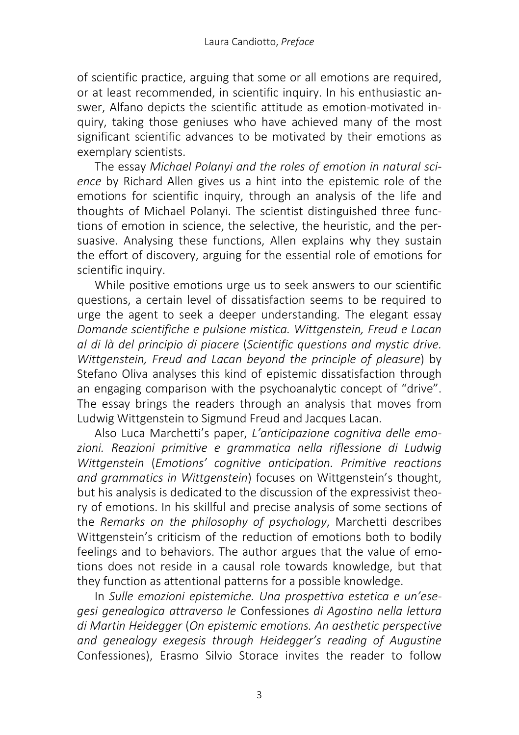of scientific practice, arguing that some or all emotions are required, or at least recommended, in scientific inquiry. In his enthusiastic answer, Alfano depicts the scientific attitude as emotion-motivated inquiry, taking those geniuses who have achieved many of the most significant scientific advances to be motivated by their emotions as exemplary scientists.

The essay *Michael Polanyi and the roles of emotion in natural science* by Richard Allen gives us a hint into the epistemic role of the emotions for scientific inquiry, through an analysis of the life and thoughts of Michael Polanyi. The scientist distinguished three functions of emotion in science, the selective, the heuristic, and the persuasive. Analysing these functions, Allen explains why they sustain the effort of discovery, arguing for the essential role of emotions for scientific inquiry.

While positive emotions urge us to seek answers to our scientific questions, a certain level of dissatisfaction seems to be required to urge the agent to seek a deeper understanding. The elegant essay *Domande scientifiche e pulsione mistica. Wittgenstein, Freud e Lacan al di là del principio di piacere* (*Scientific questions and mystic drive. Wittgenstein, Freud and Lacan beyond the principle of pleasure*) by Stefano Oliva analyses this kind of epistemic dissatisfaction through an engaging comparison with the psychoanalytic concept of "drive". The essay brings the readers through an analysis that moves from Ludwig Wittgenstein to Sigmund Freud and Jacques Lacan.

Also Luca Marchetti's paper, *L'anticipazione cognitiva delle emo*zioni. Reazioni primitive e grammatica nella riflessione di Ludwig *Wittgenstein* (*Emotions' cognitive anticipation. Primitive reactions and grammatics in Wittgenstein*) focuses on Wittgenstein's thought, but his analysis is dedicated to the discussion of the expressivist theory of emotions. In his skillful and precise analysis of some sections of the *Remarks on the philosophy of psychology*, Marchetti describes Wittgenstein's criticism of the reduction of emotions both to bodily feelings and to behaviors. The author argues that the value of emotions does not reside in a causal role towards knowledge, but that they function as attentional patterns for a possible knowledge.

In *Sulle emozioni epistemiche. Una prospettiva estetica e un'esegesi genealogica attraverso le* Confessiones *di Agostino nella lettura di Martin Heidegger* (*On epistemic emotions. An aesthetic perspective and genealogy exegesis through Heidegger's reading of Augustine*  Confessiones), Erasmo Silvio Storace invites the reader to follow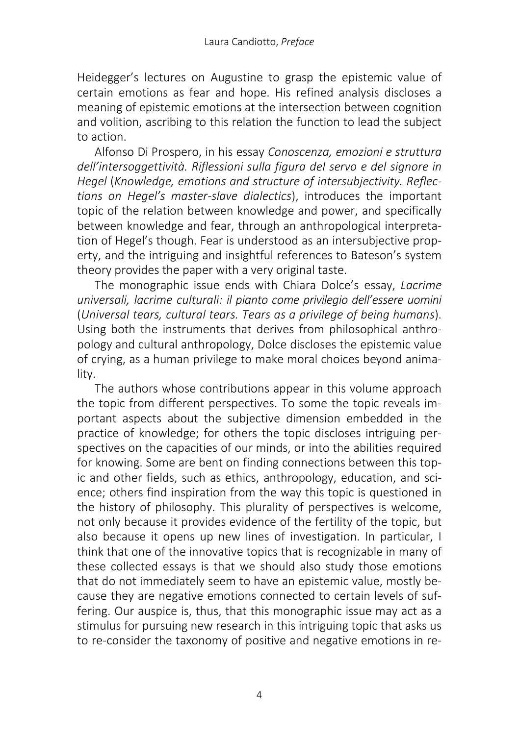Heidegger's lectures on Augustine to grasp the epistemic value of certain emotions as fear and hope. His refined analysis discloses a meaning of epistemic emotions at the intersection between cognition and volition, ascribing to this relation the function to lead the subject to action.

Alfonso Di Prospero, in his essay *Conoscenza, emozioni e struttura dell'intersoggettività. Riflessioni sulla figura del servo e del signore in Hegel* (*Knowledge, emotions and structure of intersubjectivity. Reflections on Hegel's master-slave dialectics*), introduces the important topic of the relation between knowledge and power, and specifically between knowledge and fear, through an anthropological interpretation of Hegel's though. Fear is understood as an intersubjective property, and the intriguing and insightful references to Bateson's system theory provides the paper with a very original taste.

The monographic issue ends with Chiara Dolce's essay, *Lacrime universali, lacrime culturali: il pianto come privilegio dell'essere uomini* (*Universal tears, cultural tears. Tears as a privilege of being humans*). Using both the instruments that derives from philosophical anthropology and cultural anthropology, Dolce discloses the epistemic value of crying, as a human privilege to make moral choices beyond animality.

The authors whose contributions appear in this volume approach the topic from different perspectives. To some the topic reveals important aspects about the subjective dimension embedded in the practice of knowledge; for others the topic discloses intriguing perspectives on the capacities of our minds, or into the abilities required for knowing. Some are bent on finding connections between this topic and other fields, such as ethics, anthropology, education, and science; others find inspiration from the way this topic is questioned in the history of philosophy. This plurality of perspectives is welcome, not only because it provides evidence of the fertility of the topic, but also because it opens up new lines of investigation. In particular, I think that one of the innovative topics that is recognizable in many of these collected essays is that we should also study those emotions that do not immediately seem to have an epistemic value, mostly because they are negative emotions connected to certain levels of suffering. Our auspice is, thus, that this monographic issue may act as a stimulus for pursuing new research in this intriguing topic that asks us to re-consider the taxonomy of positive and negative emotions in re